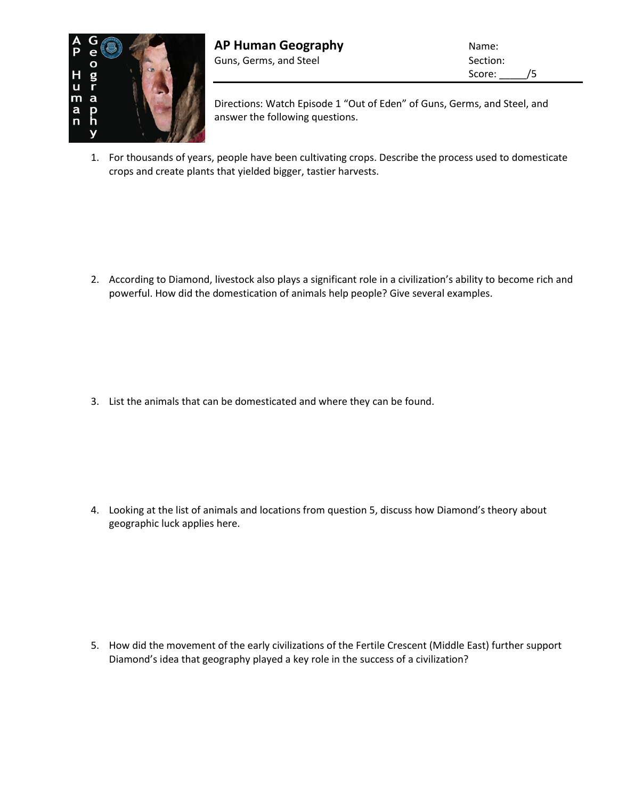

Directions: Watch Episode 1 "Out of Eden" of Guns, Germs, and Steel, and answer the following questions.

1. For thousands of years, people have been cultivating crops. Describe the process used to domesticate crops and create plants that yielded bigger, tastier harvests.

2. According to Diamond, livestock also plays a significant role in a civilization's ability to become rich and powerful. How did the domestication of animals help people? Give several examples.

3. List the animals that can be domesticated and where they can be found.

4. Looking at the list of animals and locations from question 5, discuss how Diamond's theory about geographic luck applies here.

5. How did the movement of the early civilizations of the Fertile Crescent (Middle East) further support Diamond's idea that geography played a key role in the success of a civilization?